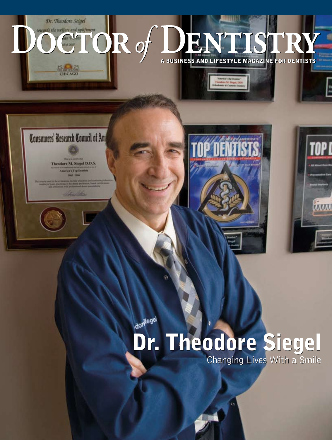

dorwegel

# Dr. Theodore Siegel Dr. Theodore Siegel

Changing Lives With a Smile Changing Lives With a Smile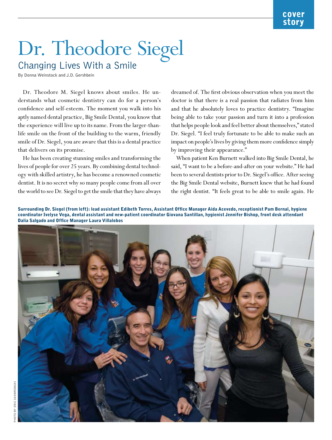# Changing Lives With a Smile

By Donna Weinstock and J.D. Gershbein

Dr. Theodore M. Siegel knows about smiles. He understands what cosmetic dentistry can do for a person's confidence and self-esteem. The moment you walk into his aptly named dental practice, Big Smile Dental, you know that the experience will live up to its name. From the larger-thanlife smile on the front of the building to the warm, friendly smile of Dr. Siegel, you are aware that this is a dental practice that delivers on its promise.

He has been creating stunning smiles and transforming the lives of people for over 25 years. By combining dental technology with skilled artistry, he has become a renowned cosmetic dentist. It is no secret why so many people come from all over the world to see Dr. Siegel to get the smile that they have always dreamed of. The first obvious observation when you meet the doctor is that there is a real passion that radiates from him and that he absolutely loves to practice dentistry. "Imagine being able to take your passion and turn it into a profession that helps people look and feel better about themselves," stated Dr. Siegel. "I feel truly fortunate to be able to make such an impact on people's lives by giving them more confidence simply by improving their appearance."

When patient Ken Burnett walked into Big Smile Dental, he said, "I want to be a before-and-after on your website." He had been to several dentists prior to Dr. Siegel's office. After seeing the Big Smile Dental website, Burnett knew that he had found the right dentist. "It feels great to be able to smile again. He

Surrounding Dr. Siegel (from left): lead assistant Edibeth Torres, Assistant Office Manager Aida Acevedo, receptionist Pam Bernal, hygiene coordinator Ivelyse Vega, dental assistant and new-patient coordinator Giovana Santillan, hygienist Jennifer Bishop, front desk attendant Dalia Salgado and Office Manager Laura Villalobos

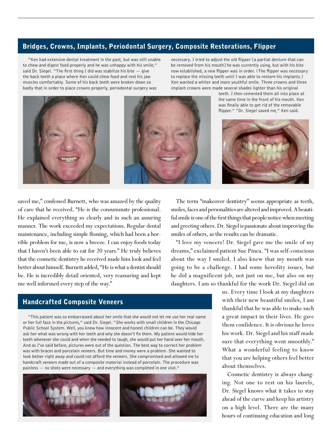## Bridges, Crowns, Implants, Periodontal Surgery, Composite Restorations, Flipper

"Ken had extensive dental treatment in the past, but was still unable to chew and digest food properly and he was unhappy with his smile," said Dr. Siegel. "The first thing I did was stabilize his bite  $-$  give the back teeth a place where Ken could chew food and rest his jaw muscles comfortably. Some of his back teeth were broken down so badly that in order to place crowns properly, periodontal surgery was

necessary. I tried to adjust the old flipper [a partial denture that can be removed from his mouth] he was currently using, but with his bite now established, a new flipper was in order. (The flipper was necessary to replace the missing teeth until I was able to restore his implants.) Ken wanted a whiter and more youthful smile. Three crowns and three implant crowns were made several shades lighter than his original





saved me," confessed Burnett, who was amazed by the quality of care that he received. "He is the consummate professional. He explained everything so clearly and in such an assuring manner. The work exceeded my expectations. Regular dental maintenance, including simple flossing, which had been a horrible problem for me, is now a breeze. I can enjoy foods today that I haven't been able to eat for 20 years." He truly believes that the cosmetic dentistry he received made him look and feel better about himself. Burnett added, "He is what a dentist should be. He is incredibly detail oriented, very reassuring and kept me well informed every step of the way."

The term "makeover dentistry" seems appropriate as teeth, smiles, faces and personalities are altered and improved. A beautiful smile is one of the first things that people notice when meeting and greeting others. Dr. Siegel is passionate about improving the smiles of others, as the results can be dramatic.

"I love my veneers! Dr. Siegel gave me the smile of my dreams," exclaimed patient Sue Pinea. "I was self-conscious about the way I smiled. I also knew that my mouth was going to be a challenge. I had some heredity issues, but he did a magnificent job, not just on me, but also on my daughters. I am so thankful for the work Dr. Siegel did on

> us. Every time I look at my daughters with their new beautiful smiles, I am thankful that he was able to make such a great impact in their lives. He gave them confidence. It is obvious he loves his work. Dr. Siegel and his staff made sure that everything went smoothly." What a wonderful feeling to know that you are helping others feel better about themselves.

> Cosmetic dentistry is always changing. Not one to rest on his laurels, Dr. Siegel knows what it takes to stay ahead of the curve and keep his artistry on a high level. There are the many hours of continuing education and long

# Handcrafted Composite Veneers

"This patient was so embarrassed about her smile that she would not let me use her real name or her full face in the pictures," said Dr. Siegel. "She works with small children in the Chicago Public School System. Well, you know how innocent and honest children can be. They would ask her what was wrong with her teeth and why she doesn't fix them. My patient would hide her teeth whenever she could and when she needed to laugh, she would put her hand over her mouth. And as I've said before, pictures were out of the question. The best way to correct her problem was with braces and porcelain veneers. But time and money were a problem. She wanted to look better right away and could not afford the veneers. She compromised and allowed me to handcraft veneers made out of a composite material instead of porcelain. The procedure was painless — no shots were necessary — and everything was completed in one visit."

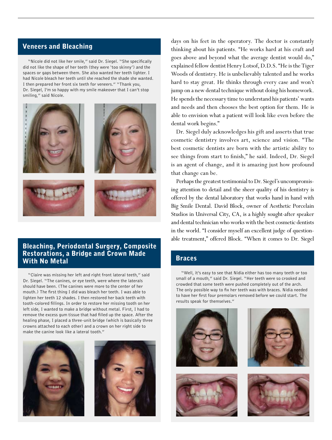#### Veneers and Bleaching

"Nicole did not like her smile," said Dr. Siegel. "She specifically did not like the shape of her teeth (they were 'too skinny') and the spaces or gaps between them. She also wanted her teeth lighter. I had Nicole bleach her teeth until she reached the shade she wanted. I then prepared her front six teeth for veneers." "Thank you, Dr. Siegel, I'm so happy with my smile makeover that I can't stop smiling," said Nicole.



#### Bleaching, Periodontal Surgery, Composite Restorations, a Bridge and Crown Made With No Metal

"Claire was missing her left and right front lateral teeth," said Dr. Siegel. "The canines, or eye teeth, were where the laterals should have been. (The canines were more to the center of her mouth.) The first thing I did was bleach her teeth. I was able to lighten her teeth 12 shades. I then restored her back teeth with tooth-colored fillings. In order to restore her missing tooth on her left side, I wanted to make a bridge without metal. First, I had to remove the excess gum tissue that had filled up the space. After the healing phase, I placed a three-unit bridge (which is basically three crowns attached to each other) and a crown on her right side to make the canine look like a lateral tooth."





days on his feet in the operatory. The doctor is constantly thinking about his patients. "He works hard at his craft and goes above and beyond what the average dentist would do," explained fellow dentist Henry Lotsof, D.D.S. "He is the Tiger Woods of dentistry. He is unbelievably talented and he works hard to stay great. He thinks through every case and won't jump on a new dental technique without doing his homework. He spends the necessary time to understand his patients' wants and needs and then chooses the best option for them. He is able to envision what a patient will look like even before the dental work begins."

Dr. Siegel duly acknowledges his gift and asserts that true cosmetic dentistry involves art, science and vision. "The best cosmetic dentists are born with the artistic ability to see things from start to finish," he said. Indeed, Dr. Siegel is an agent of change, and it is amazing just how profound that change can be.

Perhaps the greatest testimonial to Dr. Siegel's uncompromising attention to detail and the sheer quality of his dentistry is offered by the dental laboratory that works hand in hand with Big Smile Dental. David Block, owner of Aesthetic Porcelain Studios in Universal City, CA, is a highly sought-after speaker and dental technician who works with the best cosmetic dentists in the world. "I consider myself an excellent judge of questionable treatment," offered Block. "When it comes to Dr. Siegel

#### Braces

"Well, it's easy to see that Nidia either has too many teeth or too small of a mouth," said Dr. Siegel. "Her teeth were so crooked and crowded that some teeth were pushed completely out of the arch. The only possible way to fix her teeth was with braces. Nidia needed to have her first four premolars removed before we could start. The results speak for themselves."







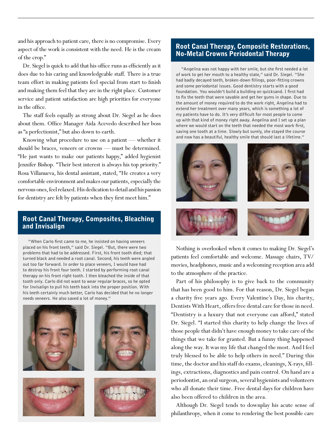and his approach to patient care, there is no compromise. Every aspect of the work is consistent with the need. He is the cream of the crop."

Dr. Siegel is quick to add that his office runs as efficiently as it does due to his caring and knowledgeable staff. There is a true team effort in making patients feel special from start to finish and making them feel that they are in the right place. Customer service and patient satisfaction are high priorities for everyone in the office.

The staff feels equally as strong about Dr. Siegel as he does about them. Office Manager Aida Acevedo described her boss as "a perfectionist," but also down to earth.

Knowing what procedure to use on a patient — whether it should be braces, veneers or crowns — must be determined. "He just wants to make our patients happy," added hygienist Jennifer Bishop. "Their best interest is always his top priority." Rosa Villanueva, his dental assistant, stated, "He creates a very comfortable environment and makes our patients, especially the nervous ones, feel relaxed. His dedication to detail and his passion for dentistry are felt by patients when they first meet him."

### Root Canal Therapy, Composites, Bleaching and Invisalign

"When Carlo first came to me, he insisted on having veneers placed on his front teeth," said Dr. Siegel. "But, there were two problems that had to be addressed. First, his front tooth died; that turned black and needed a root canal. Second, his teeth were angled out too far forward. In order to place veneers, I would have had to destroy his front four teeth. I started by performing root canal therapy on his front right tooth. I then bleached the inside of that tooth only. Carlo did not want to wear regular braces, so he opted for Invisalign to pull his teeth back into the proper position. With his teeth certainly much better, Carlo has decided that he no longer needs veneers. He also saved a lot of money."



#### Root Canal Therapy, Composite Restorations, No-Metal Crowns Periodontal Therapy

"Angelina was not happy with her smile, but she first needed a lot of work to get her mouth to a healthy state," said Dr. Siegel. "She had badly decayed teeth, broken-down fillings, poor-fitting crowns and some periodontal issues. Good dentistry starts with a good foundation. You wouldn't build a building on quicksand. I first had to fix the teeth that were savable and get her gums in shape. Due to the amount of money required to do the work right, Angelina had to extend her treatment over many years, which is something a lot of my patients have to do. It's very difficult for most people to come up with that kind of money right away. Angelina and I set up a plan where we would start on the teeth that needed the most work first, saving one tooth at a time. Slowly but surely, she stayed the course and now has a beautiful, healthy smile that should last a lifetime."



Nothing is overlooked when it comes to making Dr. Siegel's patients feel comfortable and welcome. Massage chairs, TV/ movies, headphones, music and a welcoming reception area add to the atmosphere of the practice.

Part of his philosophy is to give back to the community that has been good to him. For that reason, Dr. Siegel began a charity five years ago. Every Valentine's Day, his charity, Dentists With Heart, offers free dental care for those in need. "Dentistry is a luxury that not everyone can afford," stated Dr. Siegel. "I started this charity to help change the lives of those people that didn't have enough money to take care of the things that we take for granted. But a funny thing happened along the way. It was my life that changed the most. And I feel truly blessed to be able to help others in need." During this time, the doctor and his staff do exams, cleanings, X-rays, fillings, extractions, diagnostics and pain control. On hand are a periodontist, an oral surgeon, several hygienists and volunteers who all donate their time. Free dental days for children have also been offered to children in the area.

Although Dr. Siegel tends to downplay his acute sense of philanthropy, when it come to rendering the best possible care